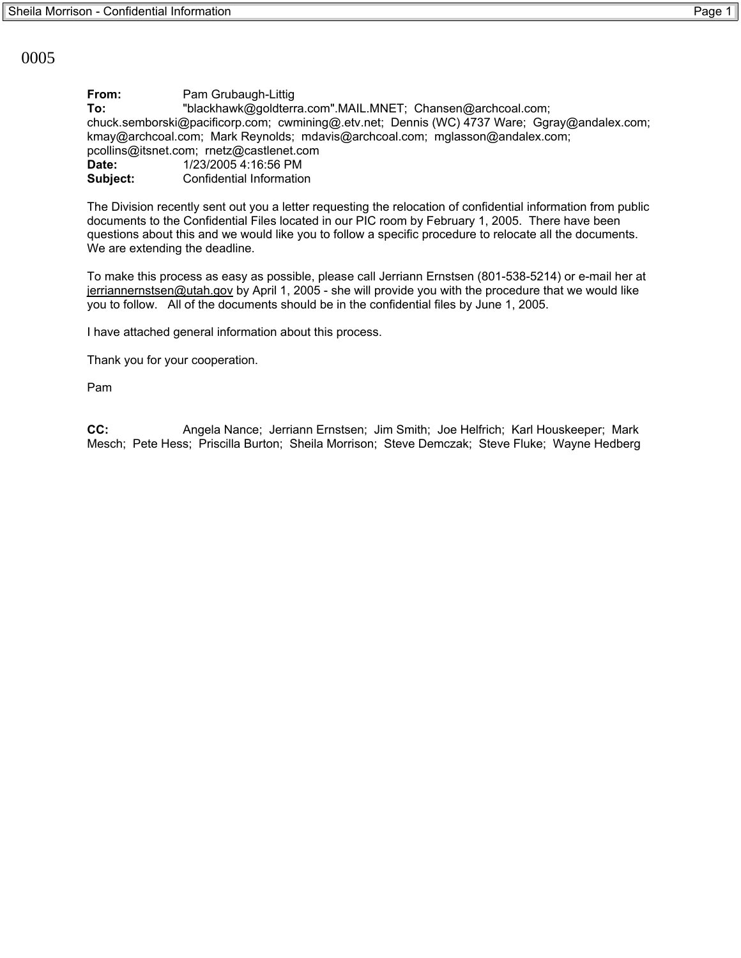0005

**From:** Pam Grubaugh-Littig **To:** "blackhawk@goldterra.com".MAIL.MNET; Chansen@archcoal.com; chuck.semborski@pacificorp.com; cwmining@.etv.net; Dennis (WC) 4737 Ware; Ggray@andalex.com; kmay@archcoal.com; Mark Reynolds; mdavis@archcoal.com; mglasson@andalex.com; pcollins@itsnet.com; rnetz@castlenet.com **Date:** 1/23/2005 4:16:56 PM **Subject:** Confidential Information

The Division recently sent out you a letter requesting the relocation of confidential information from public documents to the Confidential Files located in our PIC room by February 1, 2005. There have been questions about this and we would like you to follow a specific procedure to relocate all the documents. We are extending the deadline.

To make this process as easy as possible, please call Jerriann Ernstsen (801-538-5214) or e-mail her at jerriannernstsen@utah.gov by April 1, 2005 - she will provide you with the procedure that we would like you to follow. All of the documents should be in the confidential files by June 1, 2005.

I have attached general information about this process.

Thank you for your cooperation.

Pam

**CC:** Angela Nance; Jerriann Ernstsen; Jim Smith; Joe Helfrich; Karl Houskeeper; Mark Mesch; Pete Hess; Priscilla Burton; Sheila Morrison; Steve Demczak; Steve Fluke; Wayne Hedberg